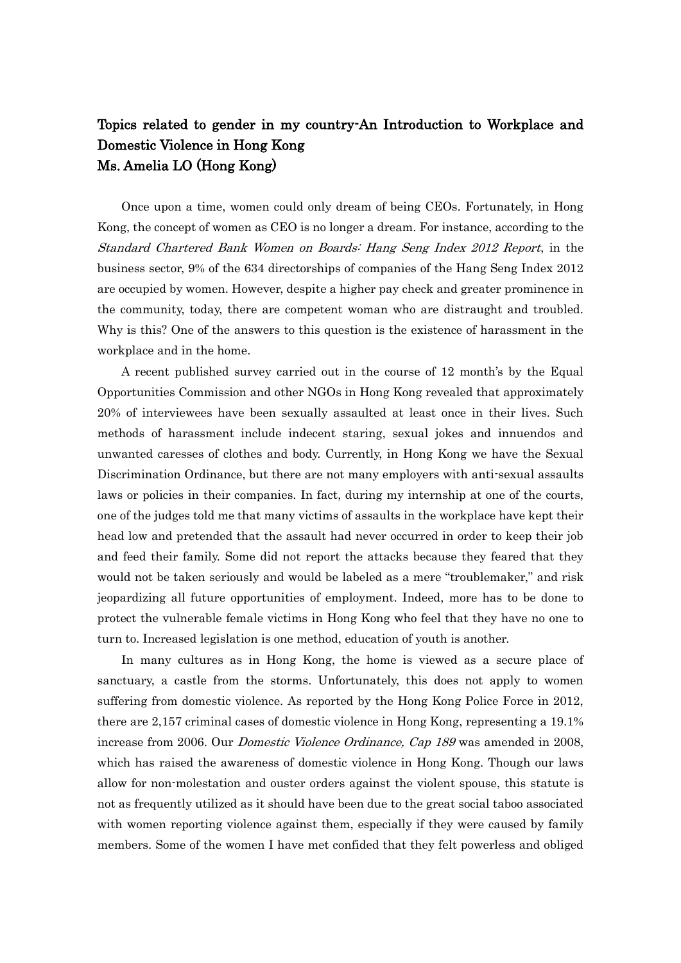## Topics related to gender in my country-An Introduction to Workplace and Domestic Violence in Hong Kong Ms. Amelia LO (Hong Kong)

Once upon a time, women could only dream of being CEOs. Fortunately, in Hong Kong, the concept of women as CEO is no longer a dream. For instance, according to the Standard Chartered Bank Women on Boards: Hang Seng Index 2012 Report, in the business sector, 9% of the 634 directorships of companies of the Hang Seng Index 2012 are occupied by women. However, despite a higher pay check and greater prominence in the community, today, there are competent woman who are distraught and troubled. Why is this? One of the answers to this question is the existence of harassment in the workplace and in the home.

A recent published survey carried out in the course of 12 month's by the Equal Opportunities Commission and other NGOs in Hong Kong revealed that approximately 20% of interviewees have been sexually assaulted at least once in their lives. Such methods of harassment include indecent staring, sexual jokes and innuendos and unwanted caresses of clothes and body. Currently, in Hong Kong we have the Sexual Discrimination Ordinance, but there are not many employers with anti-sexual assaults laws or policies in their companies. In fact, during my internship at one of the courts, one of the judges told me that many victims of assaults in the workplace have kept their head low and pretended that the assault had never occurred in order to keep their job and feed their family. Some did not report the attacks because they feared that they would not be taken seriously and would be labeled as a mere "troublemaker," and risk jeopardizing all future opportunities of employment. Indeed, more has to be done to protect the vulnerable female victims in Hong Kong who feel that they have no one to turn to. Increased legislation is one method, education of youth is another.

In many cultures as in Hong Kong, the home is viewed as a secure place of sanctuary, a castle from the storms. Unfortunately, this does not apply to women suffering from domestic violence. As reported by the Hong Kong Police Force in 2012, there are 2,157 criminal cases of domestic violence in Hong Kong, representing a 19.1% increase from 2006. Our Domestic Violence Ordinance, Cap 189 was amended in 2008, which has raised the awareness of domestic violence in Hong Kong. Though our laws allow for non-molestation and ouster orders against the violent spouse, this statute is not as frequently utilized as it should have been due to the great social taboo associated with women reporting violence against them, especially if they were caused by family members. Some of the women I have met confided that they felt powerless and obliged